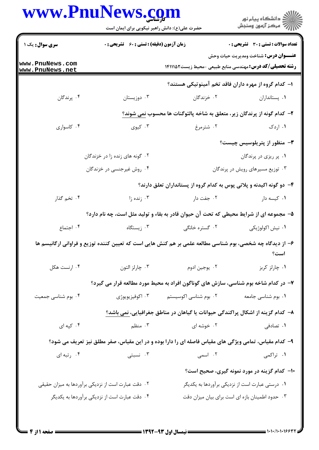|                                    | www.PnuNews.com<br>حضرت علی(ع): دانش راهبر نیکویی برای ایمان است<br><b>زمان آزمون (دقیقه) : تستی : 60 ٪ تشریحی : 0</b> |                       |                                                                                                                |  |  |
|------------------------------------|------------------------------------------------------------------------------------------------------------------------|-----------------------|----------------------------------------------------------------------------------------------------------------|--|--|
| سری سوال: یک ۱                     |                                                                                                                        |                       | تعداد سوالات : تستى : 30 ٪ تشريحي : 0                                                                          |  |  |
| www.PnuNews.com<br>www.PnuNews.net |                                                                                                                        |                       | <b>عنـــوان درس:</b> شناخت ومديريت حيات وحش<br><b>رشته تحصیلی/کد درس:</b> مهندسی منابع طبیعی -محیط زیست1۴۱۱۱۵۲ |  |  |
|                                    |                                                                                                                        |                       | ا– کدام گروه از مهره داران فاقد تخم آمینوتیکی هستند؟                                                           |  |  |
| ۰۴ پرندگان                         | ۰۳ دوزیستان                                                                                                            | ۰۲ خزندگان            | ٠١. پستانداران                                                                                                 |  |  |
|                                    | ۲- كدام گونه از پرندگان زیر، متعلق به شاخه پالئوگنات ها محسوب نمی شوند؟                                                |                       |                                                                                                                |  |  |
| ۰۴ کاسواری                         | ۰۳ کیوی                                                                                                                | ۰۲ شترمرغ             | ۰۱ اردک                                                                                                        |  |  |
|                                    |                                                                                                                        |                       | <b>۳</b> - منظور از پتریلوسیس چیست؟                                                                            |  |  |
|                                    | ۰۲ گونه های زنده زا در خزندگان                                                                                         |                       | ۰۱ پر ریزی در پرندگان                                                                                          |  |  |
|                                    | ۰۴ روش غیرجنسی در خزندگان                                                                                              |                       | ۰۳ توزیع مسیرهای رویش در پرندگان                                                                               |  |  |
|                                    | ۴– دو گونه اکیدنه و پلاتی پوس به کدام گروه از پستانداران تعلق دارند؟                                                   |                       |                                                                                                                |  |  |
| ۰۴ تخم گذار                        | ۰۳ زنده زا                                                                                                             | ۰۲ جفت دار            | ٠١ كيسه دار                                                                                                    |  |  |
|                                    | ۵– مجموعه ای از شرایط محیطی که تحت آن حیوان قادر به بقاء و تولید مثل است، چه نام دارد؟                                 |                       |                                                                                                                |  |  |
| ۰۴ اجتماع                          | ۰۳ زیستگاه                                                                                                             | ۰۲ گستره خانگی        | ۰۱ نیش اکولوژیکی                                                                                               |  |  |
|                                    | ۶– از دیدگاه چه شخصی، بوم شناسی مطالعه علمی بر هم کنش هایی است که تعیین کننده توزیع و فراوانی ارگانیسم ها              |                       | است؟                                                                                                           |  |  |
| ۰۴ ارنست هکل                       | ۰۳ چارلز التون                                                                                                         | ۰۲ يوجين ادوم         | ۰۱ چارلز کربز                                                                                                  |  |  |
|                                    |                                                                                                                        |                       | ۷- در کدام شاخه بوم شناسی، سازش های گوناگون افراد به محیط مورد مطالعه قرار می گیرد؟                            |  |  |
| ۰۴ بوم شناسی جمعیت                 | ۰۳ اکوفیزیویوژی                                                                                                        | ۰۲ بوم شناسی اکوسیستم | ۰۱ بوم شناسی جامعه                                                                                             |  |  |
|                                    |                                                                                                                        |                       | ٨– كدام گزينه از اشكال پراكندگى حيوانات يا گياهان در مناطق جغرافيايى، <u>نمى</u> باشد؟                         |  |  |
| ۰۴ کپه ای                          | ۰۳ منظم                                                                                                                | ۰۲ خوشه ای            | ۰۱ تصادفی                                                                                                      |  |  |
|                                    | ۹- کدام مقیاس، تمامی ویژگی های مقیاس فاصله ای را دارا بوده و در این مقیاس، صفر مطلق نیز تعریف می شود؟                  |                       |                                                                                                                |  |  |
| ۰۴ رتبه ای                         | ۰۳ نسبتی                                                                                                               | ۲. اسمی               | ۱. تراکمی                                                                                                      |  |  |
|                                    |                                                                                                                        |                       | ۱۰– کدام گزینه در مورد نمونه گیری، صحیح است؟                                                                   |  |  |
|                                    | ۰۲ دقت عبارت است از نزدیکی برآوردها به میزان حقیقی                                                                     |                       | ۰۱ درستی عبارت است از نزدیکی برآوردها به یکدیگر                                                                |  |  |
|                                    | ۰۴ دقت عبارت است از نزدیکی برآوردها به یکدیگر                                                                          |                       | ۰۳ حدود اطمینان بازه ای است برای بیان میزان دقت                                                                |  |  |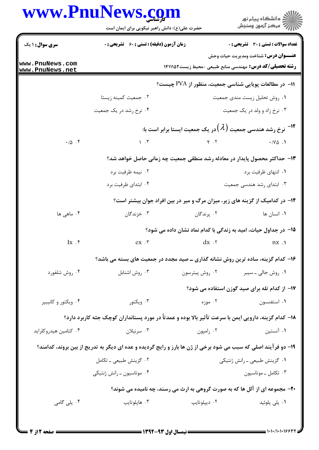## www.PnuNews.com

|                                    | www.PnuNews.com<br>حضرت علی(ع): دانش راهبر نیکویی برای ایمان است                                               |                                                       | ِ<br>∭ دانشڪاه پيام نور<br>∭ مرڪز آزمون وسنڊش                                                                  |  |  |  |
|------------------------------------|----------------------------------------------------------------------------------------------------------------|-------------------------------------------------------|----------------------------------------------------------------------------------------------------------------|--|--|--|
| <b>سری سوال : ۱ یک</b>             | <b>زمان آزمون (دقیقه) : تستی : 60 ٪ تشریحی : 0</b>                                                             |                                                       | <b>تعداد سوالات : تستي : 30 ٪ تشريحي : 0</b>                                                                   |  |  |  |
| www.PnuNews.com<br>www.PnuNews.net |                                                                                                                |                                                       | <b>عنـــوان درس:</b> شناخت ومديريت حيات وحش<br><b>رشته تحصیلی/کد درس:</b> مهندسی منابع طبیعی -محیط زیست1۴۱۱۱۵۲ |  |  |  |
|                                    |                                                                                                                | 11− در مطالعات پویایی شناسی جمعیت، منظور از PVA چیست؟ |                                                                                                                |  |  |  |
|                                    | ۰۲ جمعیت کمینه زیستا                                                                                           |                                                       | ٠١ روش تحليل زيست مندى جمعيت                                                                                   |  |  |  |
|                                    | ۰۴ نرخ رشد در یک جمعیت                                                                                         |                                                       | ۰۳ نرخ زاد و ولد در یک جمعیت                                                                                   |  |  |  |
|                                    |                                                                                                                |                                                       | ا است با $^{-1}$ ۲ نرخ رشد هندسی جمعیت $(\lambda)$ در یک جمعیت ایستا برابر است با $^{-1}$ ۲ $^{-1}$            |  |  |  |
| $\cdot/\Delta$ .                   | $\mathcal{N}$ . $\mathcal{N}$                                                                                  |                                                       |                                                                                                                |  |  |  |
|                                    | ۱۳- حداکثر محصول پایدار در معادله رشد منطقی جمعیت چه زمانی حاصل خواهد شد؟                                      |                                                       |                                                                                                                |  |  |  |
|                                    | ۰۲ نیمه ظرفیت برد                                                                                              |                                                       | ۰۱ انتهای ظرفیت برد                                                                                            |  |  |  |
|                                    | ۰۴ ابتدای ظرفیت برد                                                                                            |                                                       | ۰۳ ابتدای رشد هندسی جمعیت                                                                                      |  |  |  |
|                                    | ۱۴- در کدامیک از گزینه های زیر، میزان مرگ و میر در بین افراد جوان بیشتر است؟                                   |                                                       |                                                                                                                |  |  |  |
| ۰۴ ماهی ها                         | ۰۳ خزندگان                                                                                                     | ۰۲ پرندگان                                            | ۰۱ انسان ها                                                                                                    |  |  |  |
|                                    |                                                                                                                |                                                       | 1۵– در جداول حیات، امید به زندگی با کدام نماد نشان داده می شود؟                                                |  |  |  |
| $\mathbf{I} \mathbf{x}$ .          | ex.                                                                                                            | $dx$ .                                                | nx.                                                                                                            |  |  |  |
|                                    |                                                                                                                |                                                       | ۱۶– کدام گزینه، ساده ترین روش نشانه گذاری ـ صید مجدد در جمعیت های بسته می باشد؟                                |  |  |  |
| ۰۴ روش شلفورد                      | ۰۳ روش اشنابل                                                                                                  | ۰۲ روش پیترسون                                        | ۰۱ روش جالی ــ سیبر                                                                                            |  |  |  |
|                                    |                                                                                                                |                                                       | 17- از کدام تله برای صید گوزن استفاده می شود؟                                                                  |  |  |  |
| ۰۴ ویکتور و کانیبیر                | ۰۳ ویکتور                                                                                                      | ۰۲ موزه                                               | ۰۱ استفنسون                                                                                                    |  |  |  |
|                                    | ۱۸– کدام گزینه، دارویی ایمن با سرعت تأثیر بالا بوده و عمدتاً در مورد پستانداران کوچک جثه کاربرد دارد؟          |                                                       |                                                                                                                |  |  |  |
| ۰۴ کتامین هیدروکلراید              | ۰۳ سرنيلان                                                                                                     | ۰۲ رامپون                                             | ۰۱ آنستین                                                                                                      |  |  |  |
|                                    | ۱۹- دو فرآیند اصلی که سبب می شود برخی از ژن ها بارز و رایج گردیده و عده ای دیگر به تدریج از بین بروند، کدامند؟ |                                                       |                                                                                                                |  |  |  |
|                                    | ۰۲ گزینش طبیعی ـ تکامل                                                                                         |                                                       | ۰۱ گزینش طبیعی ـ رانش ژنتیکی                                                                                   |  |  |  |
|                                    | ۰۴ موتاسیون ــ رانش ژنتیکی                                                                                     |                                                       | ۰۳ تکامل ـ موتاسيون                                                                                            |  |  |  |
|                                    |                                                                                                                |                                                       | <b>۲۰</b> - مجموعه ای از آلل ها که به صورت گروهی به ارث می رسند، چه نامیده می شوند؟                            |  |  |  |
| ۰۴ پلی گامی                        | ۰۳ هاپلوتايپ                                                                                                   | ۰۲ ديپلوتايپ                                          | ۰۱ پلی پلوئید                                                                                                  |  |  |  |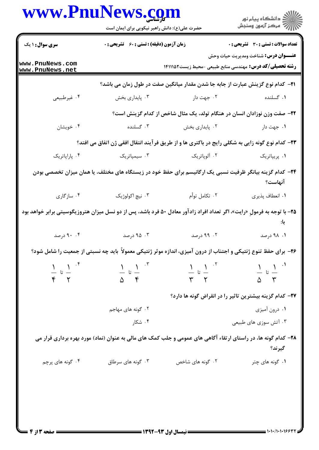|                                           | www.PnuNews.co<br>حضرت علی(ع): دانش راهبر نیکویی برای ایمان است<br><b>زمان آزمون (دقیقه) : تستی : 60 ٪ تشریحی : 0</b>           |                                                                                        | ڪ دانشڪاه پيام نور<br>ر∕ آرمون وسنڊش<br><b>تعداد سوالات : تستی : 30 ٪ تشریحی : 0</b> |  |
|-------------------------------------------|---------------------------------------------------------------------------------------------------------------------------------|----------------------------------------------------------------------------------------|--------------------------------------------------------------------------------------|--|
| <b>سری سوال : ۱ یک</b>                    |                                                                                                                                 |                                                                                        |                                                                                      |  |
| www.PnuNews.com<br>www.PnuNews.net        |                                                                                                                                 | <b>رشته تحصیلی/کد درس:</b> مهندسی منابع طبیعی -محیط زیست1۴۱۱۱۵۲                        | <b>عنـــوان درس:</b> شناخت ومديريت حيات وحش                                          |  |
|                                           |                                                                                                                                 | <b>۲۱</b> – کدام نوع گزینش عبارت از جابه جا شدن مقدار میانگین صفت در طول زمان می باشد؟ |                                                                                      |  |
| ۰۴ غیرطبیعی                               | ۰۳ پایداری بخش                                                                                                                  | ۰۲ جهت دار                                                                             | ۰۱ گسلنده                                                                            |  |
|                                           |                                                                                                                                 | ۲۲– صفت وزن نوزادان انسان در هنگام تولد، یک مثال شاخص از کدام گزینش است؟               |                                                                                      |  |
| ۰۴ خویشان                                 | ۰۳ گسلنده                                                                                                                       | ۰۲ پایداری بخش                                                                         | ۰۱ جهت دار                                                                           |  |
|                                           | ۲۳– کدام نوع گونه زایی به شکلی رایج در باکتری ها و از طریق فرآیند انتقال افقی ژن اتفاق می افتد؟                                 |                                                                                        |                                                                                      |  |
| ۰۴ پاراپاتریک                             | ۰۳ سیمپاتریک                                                                                                                    | ۰۲ آلوپاتریک                                                                           | ۰۱ پريپاتريک                                                                         |  |
|                                           | ۲۴– کدام گزینه بیانگر ظرفیت نسبی یک ارگانیسم برای حفظ خود در زیستگاه های مختلف، یا همان میزان تخصصی بودن                        |                                                                                        | آنهاست؟                                                                              |  |
| ۰۴ سازگاری                                | ۰۳ نیچ اکولوژیک                                                                                                                 | ۰۲ تکامل توأم                                                                          | ٠١ انعطاف پذيري                                                                      |  |
|                                           | <b>۲۵</b> – با توجه به فرمولِ «رایت»، اگر تعداد افراد زادآور معادل ۵۰ فرد باشد، پس از دو نسل میزان هتروزیگوسیتی برابر خواهد بود |                                                                                        |                                                                                      |  |
| ۰. ۹۰ درصد                                | ۰۳ درصد                                                                                                                         | ۲. ۹۹ درصد                                                                             | ۰۱ ۹۸ درصد                                                                           |  |
|                                           | ۲۶- برای حفظ تنوع ژنتیکی و اجتناب از درون آمیزی، اندازه موثر ژنتیکی معمولاً باید چه نسبتی از جمعیت را شامل شود؟                 |                                                                                        |                                                                                      |  |
| $\frac{1}{\varphi}$ by $\frac{1}{\gamma}$ | $\frac{1}{\Delta}$ is $\frac{1}{\epsilon}$                                                                                      | $\frac{1}{\gamma}$ $\sigma$ $\frac{1}{\gamma}$                                         | $\frac{1}{2}$ تا $\frac{1}{2}$<br>$\Delta$ $\Upsilon$                                |  |
|                                           | ۲۷– کدام گزینه بیشترین تاثیر را در انقراض گونه ها دارد؟                                                                         |                                                                                        |                                                                                      |  |
|                                           | ۰۲ گونه های مهاجم                                                                                                               |                                                                                        | ۰۱ درون آمیزی                                                                        |  |
|                                           | ۰۴ شکار                                                                                                                         |                                                                                        | ۰۳ آتش سوزی های طبیعی                                                                |  |
|                                           | ۲۸– کدام گونه ها، در راستای ارتقاء آگاهی های عمومی و جلب کمک های مالی به عنوان (نماد) مورد بهره برداری قرار می                  |                                                                                        | گيرند؟                                                                               |  |
| ۰۴ گونه های پرچم                          | ۰۳ گونه های سرطاق                                                                                                               | ۰۲ گونه های شاخص                                                                       | ۰۱ گونه های چتر                                                                      |  |